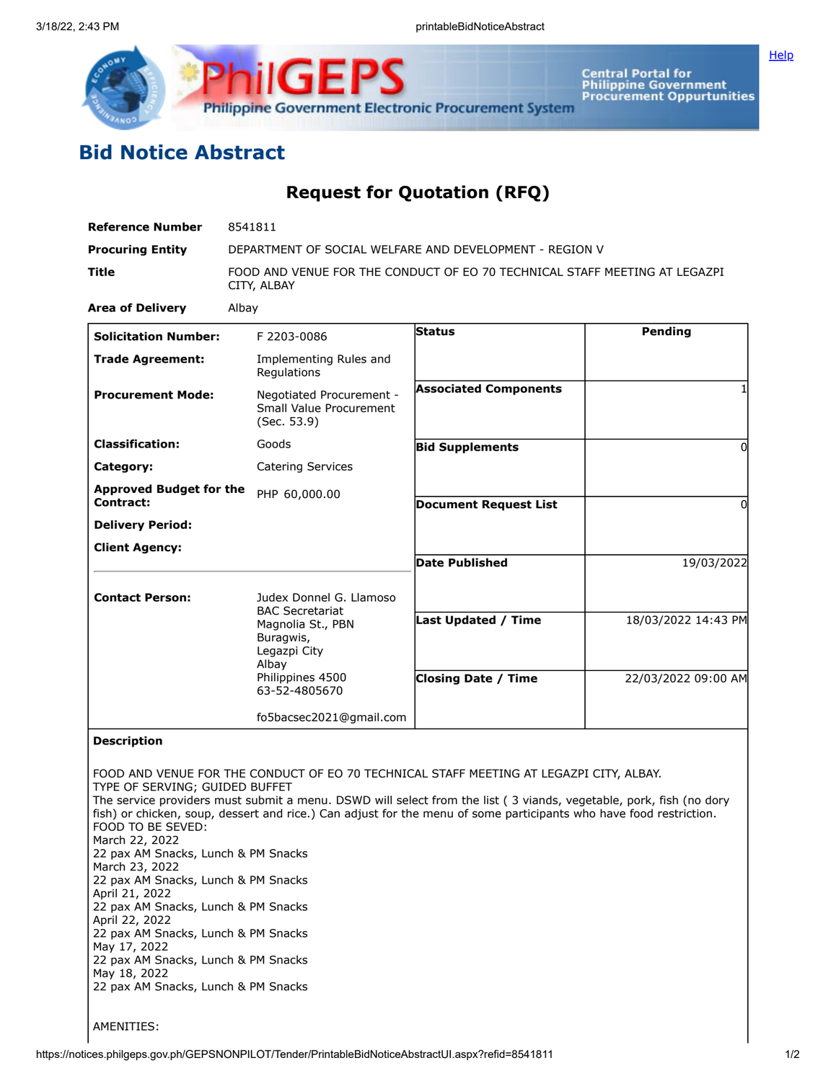

## **Bid Notice Abstract**

## **Request for Quotation (RFQ)**

| <b>Reference Number</b>                                                                                                                                                                                                                                                                                                                                                                               | 8541811                                                                                   |                                                                                                                                                                                                                                                                                                                                      |                     |
|-------------------------------------------------------------------------------------------------------------------------------------------------------------------------------------------------------------------------------------------------------------------------------------------------------------------------------------------------------------------------------------------------------|-------------------------------------------------------------------------------------------|--------------------------------------------------------------------------------------------------------------------------------------------------------------------------------------------------------------------------------------------------------------------------------------------------------------------------------------|---------------------|
| <b>Procuring Entity</b>                                                                                                                                                                                                                                                                                                                                                                               | DEPARTMENT OF SOCIAL WELFARE AND DEVELOPMENT - REGION V                                   |                                                                                                                                                                                                                                                                                                                                      |                     |
| Title                                                                                                                                                                                                                                                                                                                                                                                                 | FOOD AND VENUE FOR THE CONDUCT OF EO 70 TECHNICAL STAFF MEETING AT LEGAZPI<br>CITY, ALBAY |                                                                                                                                                                                                                                                                                                                                      |                     |
| <b>Area of Delivery</b>                                                                                                                                                                                                                                                                                                                                                                               | Albay                                                                                     |                                                                                                                                                                                                                                                                                                                                      |                     |
| <b>Solicitation Number:</b>                                                                                                                                                                                                                                                                                                                                                                           | F 2203-0086                                                                               | <b>Status</b>                                                                                                                                                                                                                                                                                                                        | Pending             |
| <b>Trade Agreement:</b>                                                                                                                                                                                                                                                                                                                                                                               | Implementing Rules and<br>Regulations                                                     |                                                                                                                                                                                                                                                                                                                                      |                     |
| <b>Procurement Mode:</b>                                                                                                                                                                                                                                                                                                                                                                              | Negotiated Procurement -<br>Small Value Procurement<br>(Sec. 53.9)                        | <b>Associated Components</b>                                                                                                                                                                                                                                                                                                         |                     |
| <b>Classification:</b>                                                                                                                                                                                                                                                                                                                                                                                | Goods                                                                                     | <b>Bid Supplements</b>                                                                                                                                                                                                                                                                                                               | $\Omega$            |
| Category:                                                                                                                                                                                                                                                                                                                                                                                             | <b>Catering Services</b>                                                                  |                                                                                                                                                                                                                                                                                                                                      |                     |
| <b>Approved Budget for the</b><br>Contract:                                                                                                                                                                                                                                                                                                                                                           | PHP 60,000.00                                                                             | <b>Document Request List</b>                                                                                                                                                                                                                                                                                                         | $\Omega$            |
| <b>Delivery Period:</b>                                                                                                                                                                                                                                                                                                                                                                               |                                                                                           |                                                                                                                                                                                                                                                                                                                                      |                     |
| <b>Client Agency:</b>                                                                                                                                                                                                                                                                                                                                                                                 |                                                                                           |                                                                                                                                                                                                                                                                                                                                      |                     |
|                                                                                                                                                                                                                                                                                                                                                                                                       |                                                                                           | <b>Date Published</b>                                                                                                                                                                                                                                                                                                                | 19/03/2022          |
| <b>Contact Person:</b>                                                                                                                                                                                                                                                                                                                                                                                | Judex Donnel G. Llamoso                                                                   |                                                                                                                                                                                                                                                                                                                                      |                     |
|                                                                                                                                                                                                                                                                                                                                                                                                       | <b>BAC Secretariat</b><br>Magnolia St., PBN<br>Buragwis,<br>Legazpi City                  | Last Updated / Time                                                                                                                                                                                                                                                                                                                  | 18/03/2022 14:43 PM |
|                                                                                                                                                                                                                                                                                                                                                                                                       | Albay<br>Philippines 4500<br>63-52-4805670                                                | <b>Closing Date / Time</b>                                                                                                                                                                                                                                                                                                           | 22/03/2022 09:00 AM |
|                                                                                                                                                                                                                                                                                                                                                                                                       | fo5bacsec2021@gmail.com                                                                   |                                                                                                                                                                                                                                                                                                                                      |                     |
| <b>Description</b>                                                                                                                                                                                                                                                                                                                                                                                    |                                                                                           |                                                                                                                                                                                                                                                                                                                                      |                     |
| TYPE OF SERVING; GUIDED BUFFET<br>FOOD TO BE SEVED:<br>March 22, 2022<br>22 pax AM Snacks, Lunch & PM Snacks<br>March 23, 2022<br>22 pax AM Snacks, Lunch & PM Snacks<br>April 21, 2022<br>22 pax AM Snacks, Lunch & PM Snacks<br>April 22, 2022<br>22 pax AM Snacks, Lunch & PM Snacks<br>May 17, 2022<br>22 pax AM Snacks, Lunch & PM Snacks<br>May 18, 2022<br>22 pax AM Snacks, Lunch & PM Snacks |                                                                                           | FOOD AND VENUE FOR THE CONDUCT OF EO 70 TECHNICAL STAFF MEETING AT LEGAZPI CITY, ALBAY.<br>The service providers must submit a menu. DSWD will select from the list ( 3 viands, vegetable, pork, fish (no dory<br>fish) or chicken, soup, dessert and rice.) Can adjust for the menu of some participants who have food restriction. |                     |